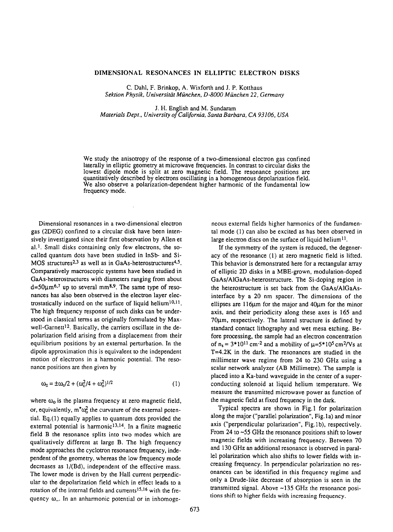## DIMENSIONAL RESONANCES IN ELLIPTIC ELECTRON DISKS

C. Dahl, F. Brinkop, A. Wixforth and J. P. Kotthaus *Sektion Physik, Universiti~tMiinchen, D-8000 Miinchen 22, Germany*

**J. H.** English and M. Sundaram *Materials Dept., University of California, Santa Barbara, CA 93106, USA*

We study the anisotropy of the response of a two-dimensional electron gas confined laterally in elliptic geometry at microwave frequencies. In contrast to circular disks the lowest dipole mode is split at zero magnetic field. The resonance positions are quantitatively described by electrons oscillating in a homogeneous depolarization field. We also observe a polarization-dependent higher harmonic of the fundamental low frequency mode.

Dimensional resonances in a two-dimensional electron gas (2DEG) confined to a circular disk have been intensively investigated since their first observation by Allen et al.<sup>1</sup>. Small disks containing only few electrons, the socalled quantum dots have been studied in InSb- and Si-MOS structures<sup>2,3</sup> as well as in GaAs-heterostructures<sup>4,5</sup>. Comparatively macroscopic systems have been studied in GaAs-heterostructures with diameters ranging from about  $d=50\mu m^{6.7}$  up to several mm<sup>8.9</sup>. The same type of resonances has also been observed in the electron layer electrostatically induced on the surface of liquid helium<sup>10,11</sup>. The high frequency response of such disks can be understood in classical terms as originally formulated by Maxwell-Garnett<sup>12</sup>. Basically, the carriers oscillate in the depolarization field arising from a displacement from their equilibrium positions by an external perturbation. In the dipole approximation this is equivalent to the independent motion of electrons in a harmonic potential. The resonance positions are then given by

$$
\omega_{\pm} = \pm \omega_{\circ}/2 + (\omega_{\circ}^2/4 + \omega_{\circ}^2)^{1/2} \tag{1}
$$

where  $\omega_0$  is the plasma frequency at zero magnetic field, or, equivalently,  $m^*\omega_0^2$  the curvature of the external potential. Eq.(1) equally applies to quantum dots provided the external potential is harmonic<sup>13,14</sup>. In a finite magnetic field B the resonance splits into two modes which are qualitatively different at large B. The high frequency mode approaches the cyclotron resonance frequency, independent of the geometry, whereas the low frequency mode decreases as 1/(Bd), independent of the effective mass. The lower mode is driven by the Hall current perpendicular to the depolarization field which in effect leads to a rotation of the internal fields and currents<sup>15,16</sup> with the frequency  $\omega$ . In an anharmonic potential or in inhomogeneous external fields higher harmonics of the fundamental mode (1) can also be excited as has been observed in large electron discs on the surface of liquid helium<sup>11</sup>.

If the symmetry of the system is reduced, the degeneracy of the resonance (1) at zero magnetic field is lifted. This behavior is demonstrated here for a rectangular array of elliptic 2D disks in a MBE-grown, modulation-doped GaAs/AlGaAs-heterostructure. The Si-doping region in the heterostructure is set back from the GaAs/AIGaAsinterface by a 20 nm spacer. The dimensions of the ellipses are  $116\mu m$  for the major and  $40\mu m$  for the minor axis, and their periodicity along these axes is 165 and  $70\mu$ m, respectively. The lateral structure is defined by standard contact lithography and wet mesa etching. Before processing, the sample had an electron concentration of  $n_s = 3*10^{11}$  cm<sup>-2</sup> and a mobility of  $\mu=5*10^5$  cm<sup>2</sup>/Vs at T=4.2K in the dark. The resonances are studied in the millimeter wave regime from 24 to 230 GHz using a scalar network analyzer (AB Millimetre). The sample is placed into a Ka-band waveguide in the center of a superconducting solenoid at liquid helium temperature. We measure the transmitted microwave power as function of the magnetic field at fixed frequency in the dark.

Typical spectra are shown in Fig.1 for polarization along the major ("parallel polarization", Fig. 1a) and minor axis ("perpendicular polarization", Fig.lb), respectively. From 24 to ~55 GHz the resonance positions shift to lower magnetic fields with increasing frequency. Between 70 and 130 GHz an additional resonance is observed in parallel polarization which also shifts to lower fields with increasing frequency. In perpendicular polarization no resonances can be identified in this frequency regime and only a Drude-like decrease of absorption is seen in the transmitted signal. Above ~135 GHz the resonance positions shift to higher fields with increasing frequency.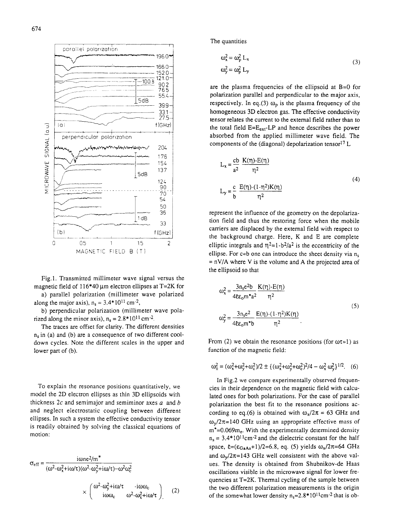

Fig. 1. Transmitted millimeter wave signal versus the magnetic field of  $116*40 \mu m$  electron ellipses at T=2K for

a) parallel polarization (millimeter wave polarized along the major axis),  $n_s = 3.4*10^{11}$  cm<sup>-2</sup>,

b) perpendicular polarization (millimeter wave polarized along the minor axis),  $n_s = 2.8*10^{11}$  cm<sup>-2</sup>.

The traces are offset for clarity. The different densities  $n_s$  in (a) and (b) are a consequence of two different cooldown cycles. Note the different scales in the upper and lower part of (b).

To explain the resonance positions quantitatively, we model the 2D electron ellipses as thin 3D ellipsoids with thickness  $2c$  and semimajor and semiminor axes  $a$  and  $b$ and neglect electrostatic coupling between different ellipses. In such a system the effective conductivity tensor is readily obtained by solving the classical equations of motion:

$$
\sigma_{eff} = \frac{i \omega n e^2 / m^*}{(\omega^2 - \omega_x^2 + i \omega / \tau)(\omega^2 - \omega_y^2 + i \omega / \tau) - \omega^2 \omega_c^2}
$$

$$
\times \begin{pmatrix} \omega^2 - \omega_y^2 + i \omega / \tau & -i \omega \omega_c \\ i \omega \omega_c & \omega^2 - \omega_x^2 + i \omega / \tau \end{pmatrix} \qquad (2)
$$

The quantities

$$
\omega_x^2 = \omega_p^2 L_x
$$
  
\n
$$
\omega_y^2 = \omega_p^2 L_y
$$
\n(3)

are the plasma frequencies of the ellipsoid at B=0 for polarization parallel and perpendicular to the major axis, respectively. In eq.(3)  $\omega_{\rm p}$  is the plasma frequency of the homogeneous 3D electron gas. The effective conductivity tensor relates the current to the external field rather than to the total field  $E=E_{ext}LP$  and hence describes the power absorbed from the applied millimeter wave field. The components of the (diagonal) depolarization tensor<sup>17</sup> L

$$
L_{x} = \frac{cb}{a^{2}} \frac{K(\eta) - E(\eta)}{\eta^{2}}
$$
  
\n
$$
L_{y} = \frac{c}{b} \frac{E(\eta) - (1 - \eta^{2})K(\eta)}{\eta^{2}}
$$
\n(4)

represent the influence of the geometry on the depolarization field and thus the restoring force when the mobile carriers are displaced by the external field with respect to the background charge. Here, K and E are complete elliptic integrals and  $\eta^2$ =1-b<sup>2</sup>/a<sup>2</sup> is the eccentricity of the ellipse. For  $c \triangleleft b$  one can introduce the sheet density via n<sub>s</sub>  $= nV/A$  where V is the volume and A the projected area of the ellipsoid so that

$$
\omega_x^2 = \frac{3n_s e^2 b}{4E \epsilon_0 m^* a^2} \frac{K(\eta) - E(\eta)}{\eta^2}
$$
  

$$
\omega_y^2 = \frac{3n_s e^2}{4E \epsilon_0 m^* b} \frac{E(\eta) - (1 - \eta^2) K(\eta)}{\eta^2}.
$$
 (5)

From (2) we obtain the resonance positions (for  $\omega t$  i) as function of the magnetic field:

$$
\omega_{\pm}^2=(\omega_x^2+\omega_y^2+\omega_c^2)/2\pm\{(\omega_x^2+\omega_y^2+\omega_c^2)^2/4-\omega_x^2\,\omega_y^2\}^{1/2}.\eqno(6)
$$

In Fig.2 we compare experimentally observed frequencies in their dependence on the magnetic field with calculated ones for both polarizations. For the case of parallel polarization the best fit to the resonance positions according to eq.(6) is obtained with  $\omega_x/2\pi = 63$  GHz and  $\omega_{\rm v}/2\pi$ =140 GHz using an appropriate effective mass of  $m^*$ =0.069 $m_e$ . With the experimentally determined density  $n_s = 3.4*10^{11}$ cm<sup>-2</sup> and the dielectric constant for the half space,  $\epsilon = (\epsilon_{GaAs}+1)/2=6.8$ , eq. (5) yields  $\omega_x/2\pi=64$  GHz and  $\omega_{\nu}/2\pi$ =143 GHz well consistent with the above values. The density is obtained from Shubnikov-de Haas oscillations visible in the microwave signal for lower frequencies at T=2K. Thermal cycling of the sample between the two different polarization measurements is the origin of the somewhat lower density  $n_s=2.8*10^{11}cm^{-2}$  that is ob-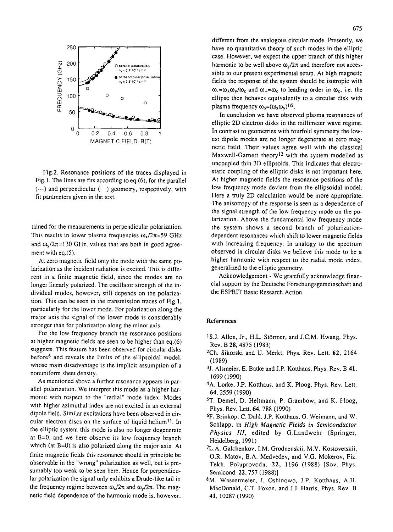

Fig.2. Resonance positions of the traces displayed in Fig. 1. The lines are fits according to eq.(6), for the parallel  $(--)$  and perpendicular  $(--)$  geometry, respectively, with fit parameters given in the text.

tained for the measurements in perpendicular polarization. This results in lower plasma frequencies  $\omega_x/2\pi=59$  GHz and  $\omega_{\rm v}/2\pi$ =130 GHz, values that are both in good agreement with eq.(5).

At zero magnetic field only the mode with the same polarization as the incident radiation is excited. This is different in a finite magnetic field, since the modes are no longer linearly polarized. The oscillator strength of the individual modes, however, still depends on the polarization. This can be seen in the transmission traces of Fig.l, particularly for the lower mode. For polarization along the major axis the signal of the lower mode is considerably stronger than for polarization along the minor axis.

For the low frequency branch the resonance positions at higher magnetic fields are seen to be higher than eq.(6) suggests. This feature has been observed for circular disks before6 and reveals the limits of the ellipsoidal model, whose main disadvantage is the implicit assumption of a nonuniform sheet density.

As mentioned above a further resonance appears in parallel polarization, We interpret this mode as a higher harmonic with respect to the "radial" mode index. Modes with higher azimuthal index are not excited in an external dipole field. Similar excitations have been observed in circular electron discs on the surface of liquid helium<sup>11</sup>. In the elliptic system this mode is also no longer degenerate at B=0, and we here observe its low frequency branch which (at B=0) is also polarized along the major axis. At finite magnetic fields this resonance should in principle be observable in the "wrong" polarization as well, but is presumably too weak to be seen here. Hence for perpendicular polarization the signal only exhibits a Drude-like tail in the frequency regime between  $\omega_x/2\pi$  and  $\omega_y/2\pi$ . The magnetic field dependence of the harmonic mode is, however,

different from the analogous circular mode. Presently, we have no quantitative theory of such modes in the elliptic case. However, we expect the upper branch of this higher harmonic to be well above  $\omega_v/2\pi$  and therefore not accessible to our present experimental setup. At high magnetic fields the response of the system should be isotropic with  $\omega_{\infty} \omega_{\infty}/\omega_{\rm c}$  and  $\omega_{+} \approx \omega_{\rm c}$  to leading order in  $\omega_{\rm c}$ , i.e. the ellipse then behaves equivalently to a circular disk with plasma frequency  $\omega_{0}=(\omega,\omega_{v})^{1/2}$ .

In conclusion we have observed plasma resonances of elliptic 2D electron disks in the millimeter wave regime. In contrast to geometries with fourfold symmetry the lowest dipole modes are no longer degenerate at zero magnetic field. Their values agree well with the classical Maxwell-Garnett theory<sup>12</sup> with the system modelled as uncoupled thin 3D ellipsoids. This indicates that electrostatic coupling of the elliptic disks is not important here. At higher magnetic fields the resonance positions of the low frequency mode deviate from the ellipsoidal model. Here a truly 2D calculation would be more appropriate. The anisotropy of the response is seen as a dependence of the signal strength of the low frequency mode on the polarization. Above the fundamental low frequency mode the system shows a second branch of polarizationdependent resonances which shift to lower magnetic fields with increasing frequency. In analogy to the spectrum observed in circular disks we believe this mode to be a higher harmonic with respect to the radial mode index, generalized to the elliptic geometry.

Acknowledgement- We gratefully acknowledge financial support by the Deutsche Forschungsgemeinschaft and the ESPRIT Basic Research Action.

## **References**

- <sup>1</sup>S.J. Allen, Jr., H.L. Störmer, and J.C.M. Hwang, Phys. Rev. B 28, 4875 (1983)
- 2Ch. Sikorski and U. Merkt, Phys. Rev. Lett. 62, 2164 (1989)
- 3j. Alsmeier, E. Batke and J.P. Kotthaus, Phys. Rev. B 41, 1699 (1990)
- 4A. Lorke, J.P. Kotthaus, and K. Ploog, Phys. Rev. Lett. 64, 2559 (1990)
- ST. Demel, D. Heitmann, P. Grambow, and K. Hoog, Phys. Rev. Lett. 64, 788 (1990)
- 6F. Brinkop, C. Dahl, J.P. Kotthaus, G. Weimann, and W. Schlapp, in *High Magnetic Fields in Semiconductor Physics III,* edited by G.Landwehr (Springer, Heidelberg, 1991)
- 7L.A. Galchenkov, I.M. Grodnenskii, M.V. Kostovetskii, O.R. Matov, B.A. Medvedev, and V.G. Mokerov, Fiz. Tekh. Poluprovodn. 22, 1196 (1988) [Sov. Phys. Semicond. 22, 757 (1988)]
- SM. Wassermeier, J. Oshinowo, J.P. Kotthaus, A.H. MacDonald, C.T. Foxon, and J.J. Harris, Phys. Rev. B 41, 10287 (1990)